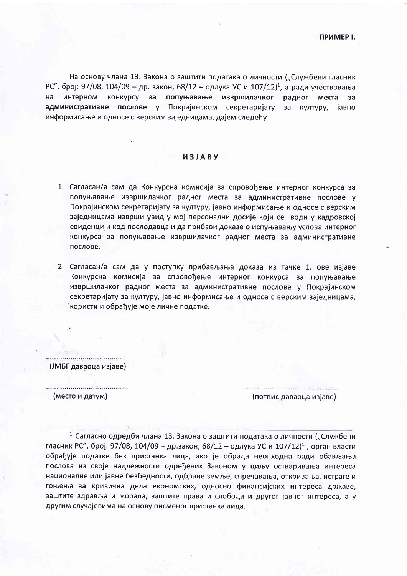**ПРИМЕР I.** 

На основу члана 13. Закона о заштити података о личности ("Службени гласник РС", број: 97/08, 104/09 - др. закон, 68/12 - одлука УС и 107/12)<sup>1</sup>, а ради учествовања на интерном конкурсу за попуњавање извршилачког радног места  $3a$ административне послове у Покрајинском секретаријату за културу, јавно информисање и односе с верским заједницама, дајем следећу

## *UBJABY*

- 1. Сагласан/а сам да Конкурсна комисија за спровођење интерног конкурса за попуњавање извршилачког радног места за административне послове у Покрајинском секретаријату за културу, јавно информисање и односе с верским заједницама изврши увид у мој персонални досије који се води у кадровској евиденцији код послодавца и да прибави доказе о испуњавању услова интерног конкурса за попуњавање извршилачког радног места за административне послове.
- 2. Сагласан/а сам да у поступку прибављања доказа из тачке 1. ове изјаве Конкурсна комисија за спровођење интерног конкурса за попуњавање извршилачког радног места за административне послове у Покрајинском секретаријату за културу, јавно информисање и односе с верским заједницама, користи и обрађује моје личне податке.

(ЈМБГ даваоца изјаве)

(место и датум)

(потпис даваоца изјаве)

<sup>1</sup> Сагласно одредби члана 13. Закона о заштити података о личности ("Службени гласник РС", број: 97/08, 104/09 - др.закон, 68/12 - одлука УС и 107/12)<sup>1</sup>, орган власти обрађује податке без пристанка лица, ако је обрада неопходна ради обављања послова из своје надлежности одређених Законом у циљу остваривања интереса националне или јавне безбедности, одбране земље, спречавања, откривања, истраге и гоњења за кривична дела економских, односно финансијских интереса државе, заштите здравља и морала, заштите права и слобода и другог јавног интереса, а у другим случајевима на основу писменог пристанка лица.